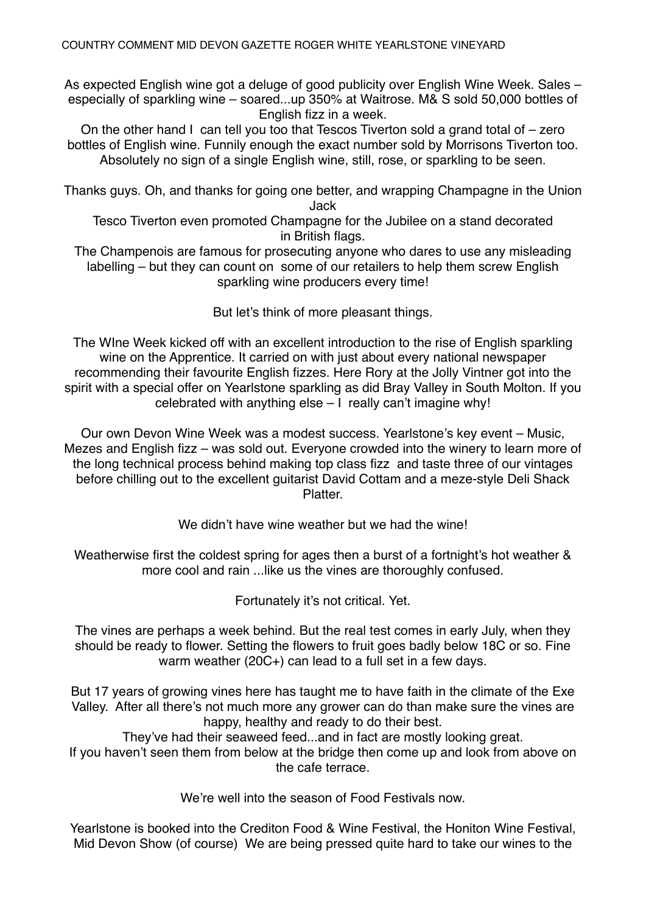As expected English wine got a deluge of good publicity over English Wine Week. Sales – especially of sparkling wine – soared...up 350% at Waitrose. M& S sold 50,000 bottles of English fizz in a week.

On the other hand I can tell you too that Tescos Tiverton sold a grand total of – zero bottles of English wine. Funnily enough the exact number sold by Morrisons Tiverton too. Absolutely no sign of a single English wine, still, rose, or sparkling to be seen.

Thanks guys. Oh, and thanks for going one better, and wrapping Champagne in the Union Jack

Tesco Tiverton even promoted Champagne for the Jubilee on a stand decorated in British flags.

The Champenois are famous for prosecuting anyone who dares to use any misleading labelling – but they can count on some of our retailers to help them screw English sparkling wine producers every time!

But let's think of more pleasant things.

The WIne Week kicked off with an excellent introduction to the rise of English sparkling wine on the Apprentice. It carried on with just about every national newspaper recommending their favourite English fizzes. Here Rory at the Jolly Vintner got into the spirit with a special offer on Yearlstone sparkling as did Bray Valley in South Molton. If you celebrated with anything else – I really can't imagine why!

Our own Devon Wine Week was a modest success. Yearlstone's key event – Music, Mezes and English fizz – was sold out. Everyone crowded into the winery to learn more of the long technical process behind making top class fizz and taste three of our vintages before chilling out to the excellent guitarist David Cottam and a meze-style Deli Shack **Platter** 

We didn't have wine weather but we had the wine!

Weatherwise first the coldest spring for ages then a burst of a fortnight's hot weather & more cool and rain ...like us the vines are thoroughly confused.

Fortunately it's not critical. Yet.

The vines are perhaps a week behind. But the real test comes in early July, when they should be ready to flower. Setting the flowers to fruit goes badly below 18C or so. Fine warm weather (20C+) can lead to a full set in a few days.

But 17 years of growing vines here has taught me to have faith in the climate of the Exe Valley. After all there's not much more any grower can do than make sure the vines are happy, healthy and ready to do their best.

They've had their seaweed feed...and in fact are mostly looking great.

If you haven't seen them from below at the bridge then come up and look from above on the cafe terrace.

We're well into the season of Food Festivals now.

Yearlstone is booked into the Crediton Food & Wine Festival, the Honiton Wine Festival, Mid Devon Show (of course) We are being pressed quite hard to take our wines to the